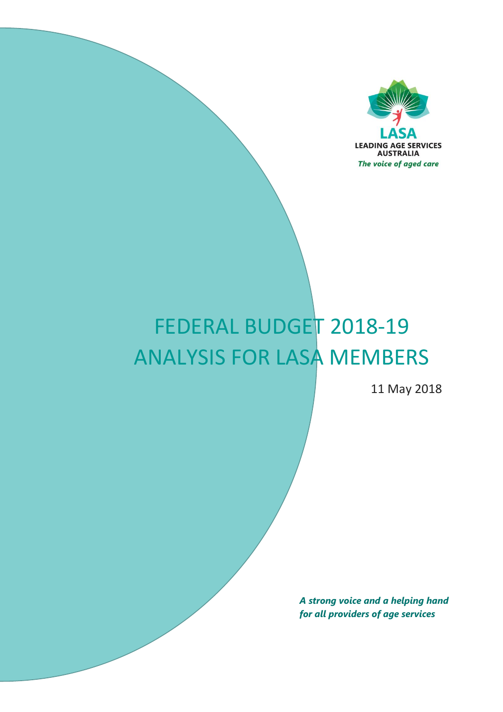

# FEDERAL BUDGET 2018-19 ANALYSIS FOR LASA MEMBERS

11 May 2018

*A strong voice and a helping hand for all providers of age services*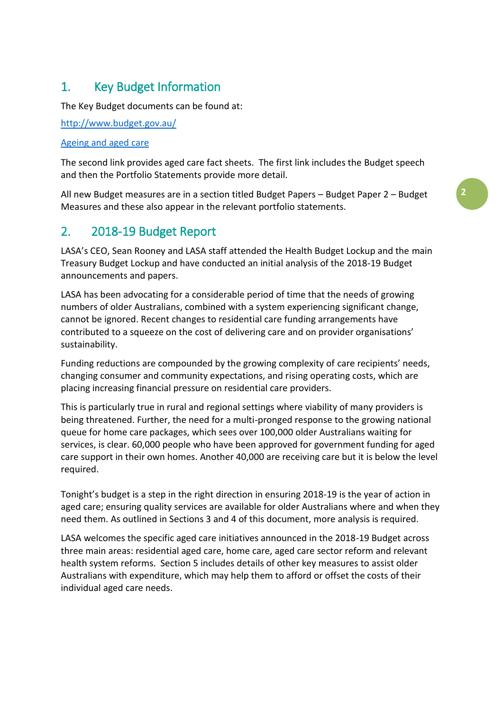# 1. Key Budget Information

The Key Budget documents can be found at:

<http://www.budget.gov.au/>

## [Ageing and aged care](http://www.health.gov.au/internet/budget/publishing.nsf/Content/budget2018-t-ageing-and-aged-care)

The second link provides aged care fact sheets. The first link includes the Budget speech and then the Portfolio Statements provide more detail.

All new Budget measures are in a section titled Budget Papers – Budget Paper 2 – Budget Measures and these also appear in the relevant portfolio statements.

# 2. 2018-19 Budget Report

LASA's CEO, Sean Rooney and LASA staff attended the Health Budget Lockup and the main Treasury Budget Lockup and have conducted an initial analysis of the 2018-19 Budget announcements and papers.

LASA has been advocating for a considerable period of time that the needs of growing numbers of older Australians, combined with a system experiencing significant change, cannot be ignored. Recent changes to residential care funding arrangements have contributed to a squeeze on the cost of delivering care and on provider organisations' sustainability.

Funding reductions are compounded by the growing complexity of care recipients' needs, changing consumer and community expectations, and rising operating costs, which are placing increasing financial pressure on residential care providers.

This is particularly true in rural and regional settings where viability of many providers is being threatened. Further, the need for a multi-pronged response to the growing national queue for home care packages, which sees over 100,000 older Australians waiting for services, is clear. 60,000 people who have been approved for government funding for aged care support in their own homes. Another 40,000 are receiving care but it is below the level required.

Tonight's budget is a step in the right direction in ensuring 2018-19 is the year of action in aged care; ensuring quality services are available for older Australians where and when they need them. As outlined in Sections 3 and 4 of this document, more analysis is required.

LASA welcomes the specific aged care initiatives announced in the 2018-19 Budget across three main areas: residential aged care, home care, aged care sector reform and relevant health system reforms. Section 5 includes details of other key measures to assist older Australians with expenditure, which may help them to afford or offset the costs of their individual aged care needs.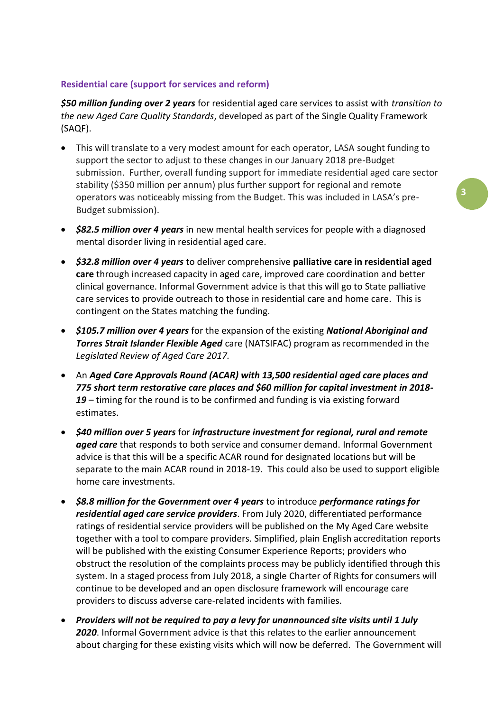## **Residential care (support for services and reform)**

*\$50 million funding over 2 years* for residential aged care services to assist with *transition to the new Aged Care Quality Standards*, developed as part of the Single Quality Framework (SAQF).

- This will translate to a very modest amount for each operator, LASA sought funding to support the sector to adjust to these changes in our January 2018 pre-Budget submission. Further, overall funding support for immediate residential aged care sector stability (\$350 million per annum) plus further support for regional and remote operators was noticeably missing from the Budget. This was included in LASA's pre-Budget submission).
- *\$82.5 million over 4 years* in new mental health services for people with a diagnosed mental disorder living in residential aged care.
- *\$32.8 million over 4 years* to deliver comprehensive **palliative care in residential aged care** through increased capacity in aged care, improved care coordination and better clinical governance. Informal Government advice is that this will go to State palliative care services to provide outreach to those in residential care and home care. This is contingent on the States matching the funding.
- *\$105.7 million over 4 years* for the expansion of the existing *National Aboriginal and Torres Strait Islander Flexible Aged* care (NATSIFAC) program as recommended in the *Legislated Review of Aged Care 2017.*
- An *Aged Care Approvals Round (ACAR) with 13,500 residential aged care places and 775 short term restorative care places and \$60 million for capital investment in 2018- 19* – timing for the round is to be confirmed and funding is via existing forward estimates.
- *\$40 million over 5 years* for *infrastructure investment for regional, rural and remote aged care* that responds to both service and consumer demand. Informal Government advice is that this will be a specific ACAR round for designated locations but will be separate to the main ACAR round in 2018-19. This could also be used to support eligible home care investments.
- *\$8.8 million for the Government over 4 years* to introduce *performance ratings for residential aged care service providers*. From July 2020, differentiated performance ratings of residential service providers will be published on the My Aged Care website together with a tool to compare providers. Simplified, plain English accreditation reports will be published with the existing Consumer Experience Reports; providers who obstruct the resolution of the complaints process may be publicly identified through this system. In a staged process from July 2018, a single Charter of Rights for consumers will continue to be developed and an open disclosure framework will encourage care providers to discuss adverse care-related incidents with families.
- *Providers will not be required to pay a levy for unannounced site visits until 1 July 2020*. Informal Government advice is that this relates to the earlier announcement about charging for these existing visits which will now be deferred. The Government will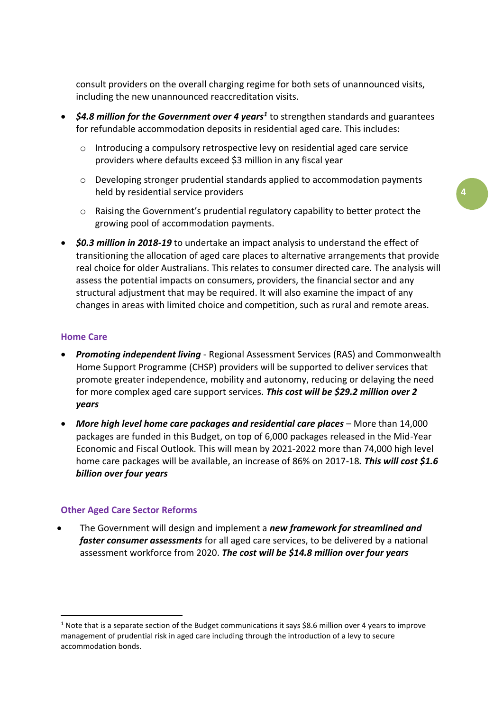consult providers on the overall charging regime for both sets of unannounced visits, including the new unannounced reaccreditation visits.

- *\$4.8 million for the Government over 4 years<sup>1</sup> to strengthen standards and guarantees* for refundable accommodation deposits in residential aged care. This includes:
	- o Introducing a compulsory retrospective levy on residential aged care service providers where defaults exceed \$3 million in any fiscal year
	- o Developing stronger prudential standards applied to accommodation payments held by residential service providers
	- $\circ$  Raising the Government's prudential regulatory capability to better protect the growing pool of accommodation payments.
- *\$0.3 million in 2018-19* to undertake an impact analysis to understand the effect of transitioning the allocation of aged care places to alternative arrangements that provide real choice for older Australians. This relates to consumer directed care. The analysis will assess the potential impacts on consumers, providers, the financial sector and any structural adjustment that may be required. It will also examine the impact of any changes in areas with limited choice and competition, such as rural and remote areas.

#### **Home Care**

**.** 

- *Promoting independent living* Regional Assessment Services (RAS) and Commonwealth Home Support Programme (CHSP) providers will be supported to deliver services that promote greater independence, mobility and autonomy, reducing or delaying the need for more complex aged care support services. *This cost will be \$29.2 million over 2 years*
- *More high level home care packages and residential care places* More than 14,000 packages are funded in this Budget, on top of 6,000 packages released in the Mid-Year Economic and Fiscal Outlook. This will mean by 2021-2022 more than 74,000 high level home care packages will be available, an increase of 86% on 2017-18*. This will cost \$1.6 billion over four years*

#### **Other Aged Care Sector Reforms**

• The Government will design and implement a *new framework for streamlined and faster consumer assessments* for all aged care services, to be delivered by a national assessment workforce from 2020. *The cost will be \$14.8 million over four years* 

<sup>&</sup>lt;sup>1</sup> Note that is a separate section of the Budget communications it says \$8.6 million over 4 years to improve management of prudential risk in aged care including through the introduction of a levy to secure accommodation bonds.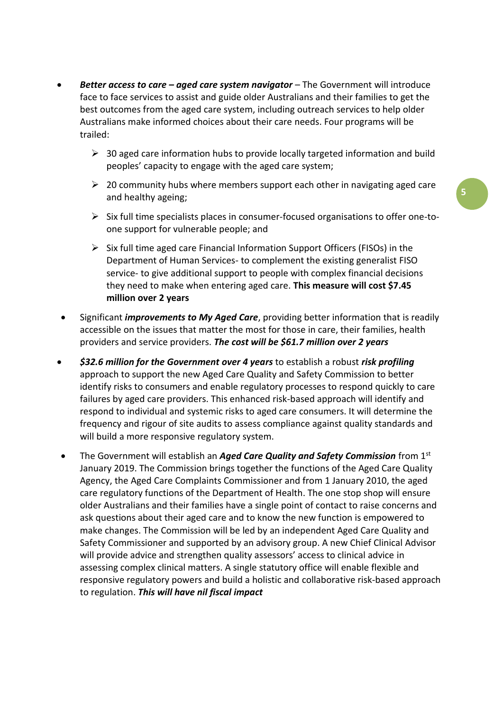- *Better access to care – aged care system navigator* The Government will introduce face to face services to assist and guide older Australians and their families to get the best outcomes from the aged care system, including outreach services to help older Australians make informed choices about their care needs. Four programs will be trailed:
	- $\geq$  30 aged care information hubs to provide locally targeted information and build peoples' capacity to engage with the aged care system;
	- $\geq 20$  community hubs where members support each other in navigating aged care and healthy ageing;
	- ➢ Six full time specialists places in consumer-focused organisations to offer one-toone support for vulnerable people; and
	- $\triangleright$  Six full time aged care Financial Information Support Officers (FISOs) in the Department of Human Services- to complement the existing generalist FISO service- to give additional support to people with complex financial decisions they need to make when entering aged care. **This measure will cost \$7.45 million over 2 years**
- Significant *improvements to My Aged Care*, providing better information that is readily accessible on the issues that matter the most for those in care, their families, health providers and service providers. *The cost will be \$61.7 million over 2 years*
- *\$32.6 million for the Government over 4 years* to establish a robust *risk profiling* approach to support the new Aged Care Quality and Safety Commission to better identify risks to consumers and enable regulatory processes to respond quickly to care failures by aged care providers. This enhanced risk-based approach will identify and respond to individual and systemic risks to aged care consumers. It will determine the frequency and rigour of site audits to assess compliance against quality standards and will build a more responsive regulatory system.
- The Government will establish an *Aged Care Quality and Safety Commission* from 1st January 2019. The Commission brings together the functions of the Aged Care Quality Agency, the Aged Care Complaints Commissioner and from 1 January 2010, the aged care regulatory functions of the Department of Health. The one stop shop will ensure older Australians and their families have a single point of contact to raise concerns and ask questions about their aged care and to know the new function is empowered to make changes. The Commission will be led by an independent Aged Care Quality and Safety Commissioner and supported by an advisory group. A new Chief Clinical Advisor will provide advice and strengthen quality assessors' access to clinical advice in assessing complex clinical matters. A single statutory office will enable flexible and responsive regulatory powers and build a holistic and collaborative risk-based approach to regulation. *This will have nil fiscal impact*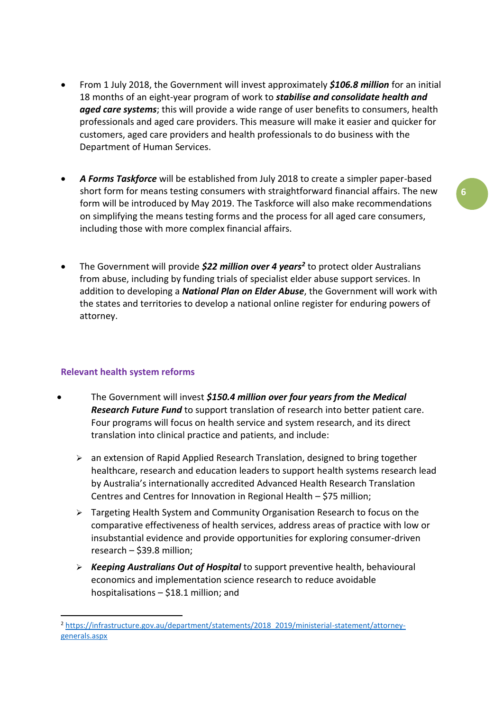- From 1 July 2018, the Government will invest approximately *\$106.8 million* for an initial 18 months of an eight-year program of work to *stabilise and consolidate health and aged care systems*; this will provide a wide range of user benefits to consumers, health professionals and aged care providers. This measure will make it easier and quicker for customers, aged care providers and health professionals to do business with the Department of Human Services.
- *A Forms Taskforce* will be established from July 2018 to create a simpler paper-based short form for means testing consumers with straightforward financial affairs. The new form will be introduced by May 2019. The Taskforce will also make recommendations on simplifying the means testing forms and the process for all aged care consumers, including those with more complex financial affairs.
- The Government will provide *\$22 million over 4 years<sup>2</sup>* to protect older Australians from abuse, including by funding trials of specialist elder abuse support services. In addition to developing a *National Plan on Elder Abuse*, the Government will work with the states and territories to develop a national online register for enduring powers of attorney.

## **Relevant health system reforms**

**.** 

- The Government will invest *\$150.4 million over four years from the Medical Research Future Fund* to support translation of research into better patient care. Four programs will focus on health service and system research, and its direct translation into clinical practice and patients, and include:
	- $\triangleright$  an extension of Rapid Applied Research Translation, designed to bring together healthcare, research and education leaders to support health systems research lead by Australia's internationally accredited Advanced Health Research Translation Centres and Centres for Innovation in Regional Health – \$75 million;
	- ➢ Targeting Health System and Community Organisation Research to focus on the comparative effectiveness of health services, address areas of practice with low or insubstantial evidence and provide opportunities for exploring consumer-driven research – \$39.8 million;
	- ➢ *Keeping Australians Out of Hospital* to support preventive health, behavioural economics and implementation science research to reduce avoidable hospitalisations – \$18.1 million; and

<sup>2</sup> [https://infrastructure.gov.au/department/statements/2018\\_2019/ministerial-statement/attorney](https://infrastructure.gov.au/department/statements/2018_2019/ministerial-statement/attorney-generals.aspx)[generals.aspx](https://infrastructure.gov.au/department/statements/2018_2019/ministerial-statement/attorney-generals.aspx)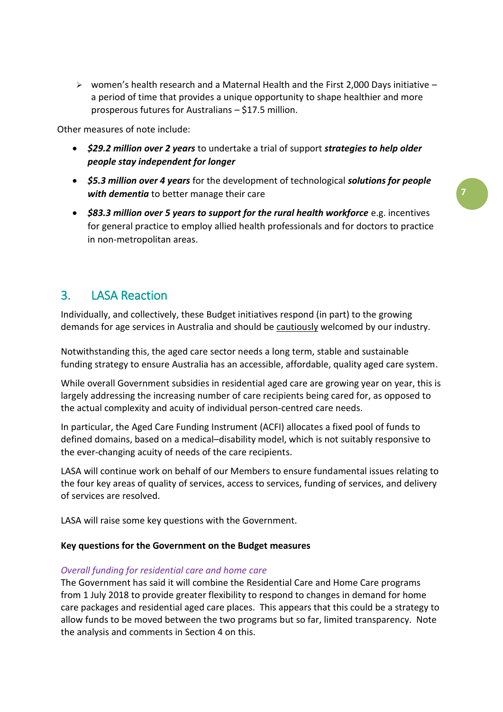$\triangleright$  women's health research and a Maternal Health and the First 2,000 Days initiative – a period of time that provides a unique opportunity to shape healthier and more prosperous futures for Australians – \$17.5 million.

Other measures of note include:

- *\$29.2 million over 2 years* to undertake a trial of support *strategies to help older people stay independent for longer*
- *\$5.3 million over 4 years* for the development of technological *solutions for people with dementia* to better manage their care

**7**

• **\$83.3 million over 5 years to support for the rural health workforce** e.g. incentives for general practice to employ allied health professionals and for doctors to practice in non-metropolitan areas.

# 3. LASA Reaction

Individually, and collectively, these Budget initiatives respond (in part) to the growing demands for age services in Australia and should be cautiously welcomed by our industry.

Notwithstanding this, the aged care sector needs a long term, stable and sustainable funding strategy to ensure Australia has an accessible, affordable, quality aged care system.

While overall Government subsidies in residential aged care are growing year on year, this is largely addressing the increasing number of care recipients being cared for, as opposed to the actual complexity and acuity of individual person-centred care needs.

In particular, the Aged Care Funding Instrument (ACFI) allocates a fixed pool of funds to defined domains, based on a medical–disability model, which is not suitably responsive to the ever-changing acuity of needs of the care recipients.

LASA will continue work on behalf of our Members to ensure fundamental issues relating to the four key areas of quality of services, access to services, funding of services, and delivery of services are resolved.

LASA will raise some key questions with the Government.

#### **Key questions for the Government on the Budget measures**

#### *Overall funding for residential care and home care*

The Government has said it will combine the Residential Care and Home Care programs from 1 July 2018 to provide greater flexibility to respond to changes in demand for home care packages and residential aged care places. This appears that this could be a strategy to allow funds to be moved between the two programs but so far, limited transparency. Note the analysis and comments in Section 4 on this.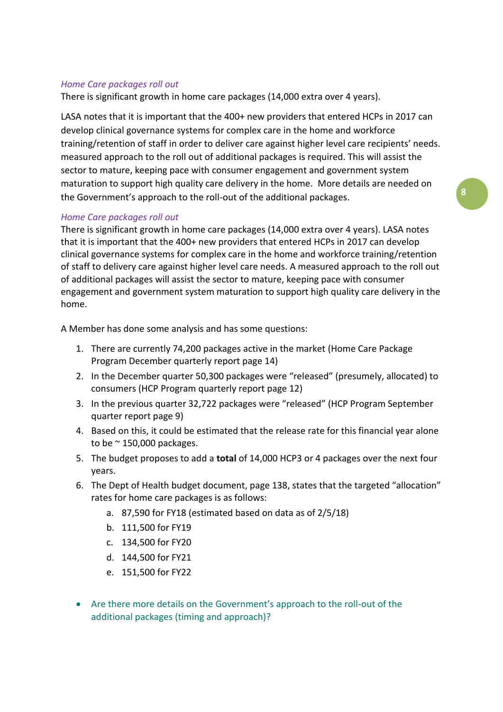## *Home Care packages roll out*

There is significant growth in home care packages (14,000 extra over 4 years).

LASA notes that it is important that the 400+ new providers that entered HCPs in 2017 can develop clinical governance systems for complex care in the home and workforce training/retention of staff in order to deliver care against higher level care recipients' needs. measured approach to the roll out of additional packages is required. This will assist the sector to mature, keeping pace with consumer engagement and government system maturation to support high quality care delivery in the home. More details are needed on the Government's approach to the roll-out of the additional packages.

# *Home Care packages roll out*

There is significant growth in home care packages (14,000 extra over 4 years). LASA notes that it is important that the 400+ new providers that entered HCPs in 2017 can develop clinical governance systems for complex care in the home and workforce training/retention of staff to delivery care against higher level care needs. A measured approach to the roll out of additional packages will assist the sector to mature, keeping pace with consumer engagement and government system maturation to support high quality care delivery in the home.

A Member has done some analysis and has some questions:

- 1. There are currently 74,200 packages active in the market (Home Care Package Program December quarterly report page 14)
- 2. In the December quarter 50,300 packages were "released" (presumely, allocated) to consumers (HCP Program quarterly report page 12)
- 3. In the previous quarter 32,722 packages were "released" (HCP Program September quarter report page 9)
- 4. Based on this, it could be estimated that the release rate for this financial year alone to be  $\approx$  150,000 packages.
- 5. The budget proposes to add a **total** of 14,000 HCP3 or 4 packages over the next four years.
- 6. The Dept of Health budget document, page 138, states that the targeted "allocation" rates for home care packages is as follows:
	- a. 87,590 for FY18 (estimated based on data as of 2/5/18)
	- b. 111,500 for FY19
	- c. 134,500 for FY20
	- d. 144,500 for FY21
	- e. 151,500 for FY22
- Are there more details on the Government's approach to the roll-out of the additional packages (timing and approach)?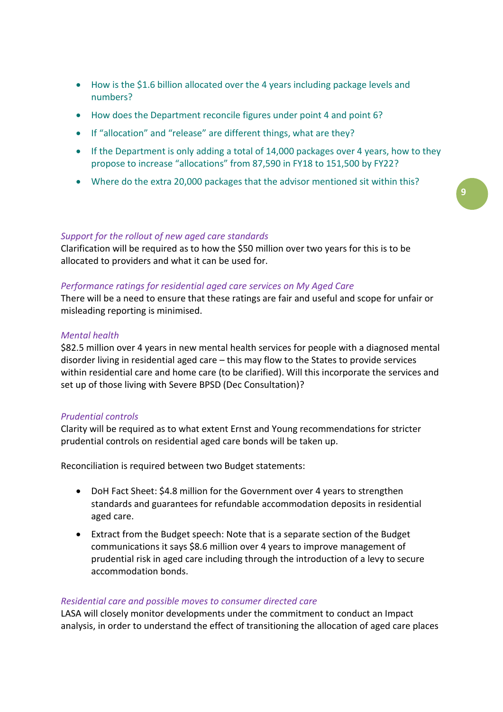- How is the \$1.6 billion allocated over the 4 years including package levels and numbers?
- How does the Department reconcile figures under point 4 and point 6?
- If "allocation" and "release" are different things, what are they?
- If the Department is only adding a total of 14,000 packages over 4 years, how to they propose to increase "allocations" from 87,590 in FY18 to 151,500 by FY22?
- Where do the extra 20,000 packages that the advisor mentioned sit within this?

#### *Support for the rollout of new aged care standards*

Clarification will be required as to how the \$50 million over two years for this is to be allocated to providers and what it can be used for.

#### *Performance ratings for residential aged care services on My Aged Care*

There will be a need to ensure that these ratings are fair and useful and scope for unfair or misleading reporting is minimised.

#### *Mental health*

\$82.5 million over 4 years in new mental health services for people with a diagnosed mental disorder living in residential aged care – this may flow to the States to provide services within residential care and home care (to be clarified). Will this incorporate the services and set up of those living with Severe BPSD (Dec Consultation)?

#### *Prudential controls*

Clarity will be required as to what extent Ernst and Young recommendations for stricter prudential controls on residential aged care bonds will be taken up.

Reconciliation is required between two Budget statements:

- DoH Fact Sheet: \$4.8 million for the Government over 4 years to strengthen standards and guarantees for refundable accommodation deposits in residential aged care.
- Extract from the Budget speech: Note that is a separate section of the Budget communications it says \$8.6 million over 4 years to improve management of prudential risk in aged care including through the introduction of a levy to secure accommodation bonds.

#### *Residential care and possible moves to consumer directed care*

LASA will closely monitor developments under the commitment to conduct an Impact analysis, in order to understand the effect of transitioning the allocation of aged care places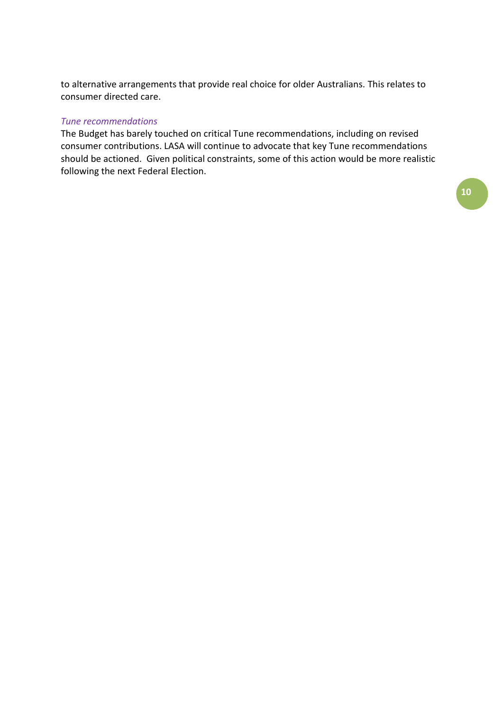to alternative arrangements that provide real choice for older Australians. This relates to consumer directed care.

#### *Tune recommendations*

The Budget has barely touched on critical Tune recommendations, including on revised consumer contributions. LASA will continue to advocate that key Tune recommendations should be actioned. Given political constraints, some of this action would be more realistic following the next Federal Election.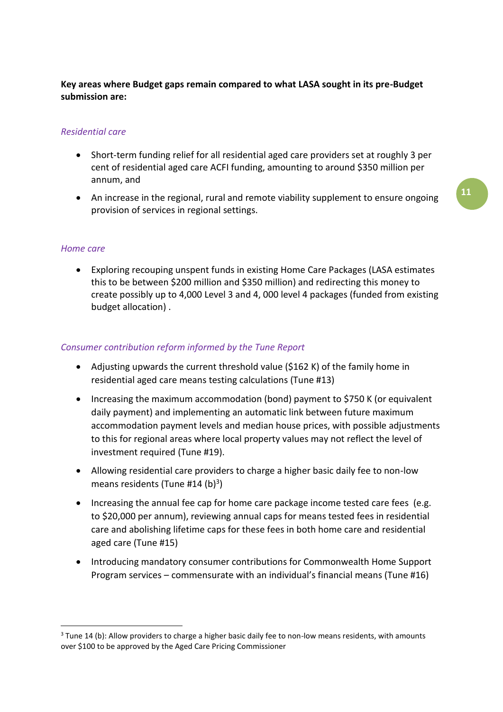# **Key areas where Budget gaps remain compared to what LASA sought in its pre-Budget submission are:**

# *Residential care*

- Short-term funding relief for all residential aged care providers set at roughly 3 per cent of residential aged care ACFI funding, amounting to around \$350 million per annum, and
- An increase in the regional, rural and remote viability supplement to ensure ongoing provision of services in regional settings.

# **11**

### *Home care*

1

• Exploring recouping unspent funds in existing Home Care Packages (LASA estimates this to be between \$200 million and \$350 million) and redirecting this money to create possibly up to 4,000 Level 3 and 4, 000 level 4 packages (funded from existing budget allocation) .

## *Consumer contribution reform informed by the Tune Report*

- Adjusting upwards the current threshold value (\$162 K) of the family home in residential aged care means testing calculations (Tune #13)
- Increasing the maximum accommodation (bond) payment to \$750 K (or equivalent daily payment) and implementing an automatic link between future maximum accommodation payment levels and median house prices, with possible adjustments to this for regional areas where local property values may not reflect the level of investment required (Tune #19).
- Allowing residential care providers to charge a higher basic daily fee to non-low means residents (Tune #14 (b)<sup>3</sup>)
- Increasing the annual fee cap for home care package income tested care fees (e.g. to \$20,000 per annum), reviewing annual caps for means tested fees in residential care and abolishing lifetime caps for these fees in both home care and residential aged care (Tune #15)
- Introducing mandatory consumer contributions for Commonwealth Home Support Program services – commensurate with an individual's financial means (Tune #16)

 $3$  Tune 14 (b): Allow providers to charge a higher basic daily fee to non-low means residents, with amounts over \$100 to be approved by the Aged Care Pricing Commissioner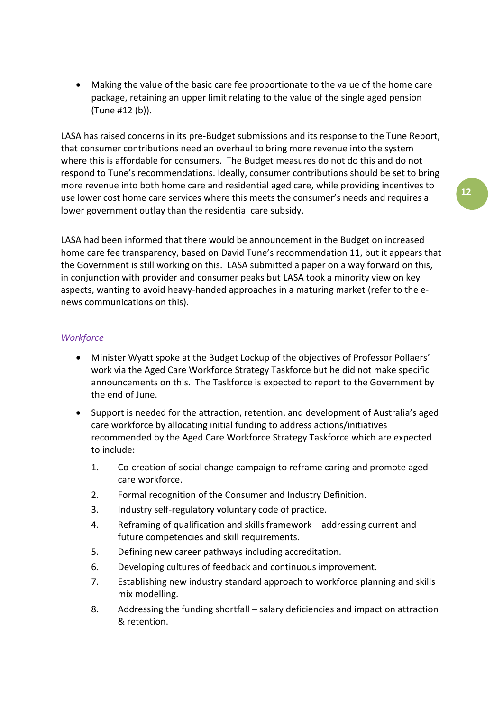• Making the value of the basic care fee proportionate to the value of the home care package, retaining an upper limit relating to the value of the single aged pension (Tune #12 (b)).

LASA has raised concerns in its pre-Budget submissions and its response to the Tune Report, that consumer contributions need an overhaul to bring more revenue into the system where this is affordable for consumers. The Budget measures do not do this and do not respond to Tune's recommendations. Ideally, consumer contributions should be set to bring more revenue into both home care and residential aged care, while providing incentives to use lower cost home care services where this meets the consumer's needs and requires a lower government outlay than the residential care subsidy.

LASA had been informed that there would be announcement in the Budget on increased home care fee transparency, based on David Tune's recommendation 11, but it appears that the Government is still working on this. LASA submitted a paper on a way forward on this, in conjunction with provider and consumer peaks but LASA took a minority view on key aspects, wanting to avoid heavy-handed approaches in a maturing market (refer to the enews communications on this).

## *Workforce*

- Minister Wyatt spoke at the Budget Lockup of the objectives of Professor Pollaers' work via the Aged Care Workforce Strategy Taskforce but he did not make specific announcements on this. The Taskforce is expected to report to the Government by the end of June.
- Support is needed for the attraction, retention, and development of Australia's aged care workforce by allocating initial funding to address actions/initiatives recommended by the Aged Care Workforce Strategy Taskforce which are expected to include:
	- 1. Co-creation of social change campaign to reframe caring and promote aged care workforce.
	- 2. Formal recognition of the Consumer and Industry Definition.
	- 3. Industry self-regulatory voluntary code of practice.
	- 4. Reframing of qualification and skills framework addressing current and future competencies and skill requirements.
	- 5. Defining new career pathways including accreditation.
	- 6. Developing cultures of feedback and continuous improvement.
	- 7. Establishing new industry standard approach to workforce planning and skills mix modelling.
	- 8. Addressing the funding shortfall salary deficiencies and impact on attraction & retention.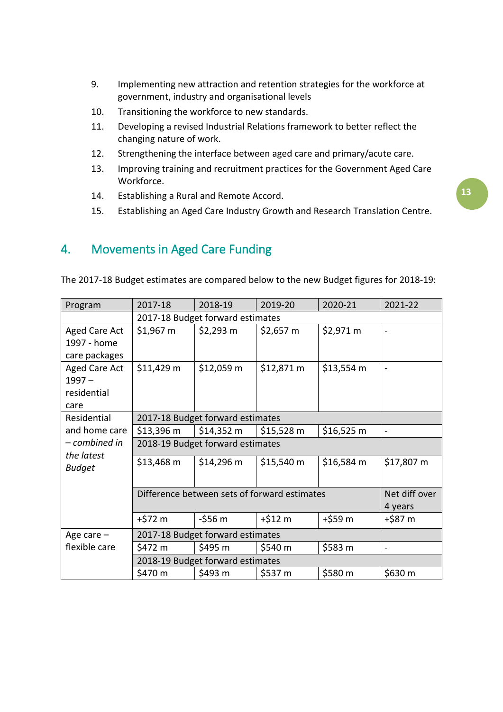- 9. Implementing new attraction and retention strategies for the workforce at government, industry and organisational levels
- 10. Transitioning the workforce to new standards.
- 11. Developing a revised Industrial Relations framework to better reflect the changing nature of work.
- 12. Strengthening the interface between aged care and primary/acute care.
- 13. Improving training and recruitment practices for the Government Aged Care Workforce.
- 14. Establishing a Rural and Remote Accord.
- 15. Establishing an Aged Care Industry Growth and Research Translation Centre.

# 4. Movements in Aged Care Funding

| Program       | 2017-18                                      | 2018-19             | 2019-20             | 2020-21             | 2021-22                      |
|---------------|----------------------------------------------|---------------------|---------------------|---------------------|------------------------------|
|               | 2017-18 Budget forward estimates             |                     |                     |                     |                              |
| Aged Care Act | \$1,967 m                                    | $$2,293$ m          | $$2,657 \text{ m}$  | \$2,971 m           | $\qquad \qquad \blacksquare$ |
| 1997 - home   |                                              |                     |                     |                     |                              |
| care packages |                                              |                     |                     |                     |                              |
| Aged Care Act | \$11,429 m                                   | \$12,059 m          | \$12,871 m          | $$13,554 \text{ m}$ |                              |
| $1997 -$      |                                              |                     |                     |                     |                              |
| residential   |                                              |                     |                     |                     |                              |
| care          |                                              |                     |                     |                     |                              |
| Residential   | 2017-18 Budget forward estimates             |                     |                     |                     |                              |
| and home care | $$13,396 \text{ m}$                          | $$14,352 \text{ m}$ | $$15,528 \text{ m}$ | $$16,525 \text{ m}$ | $\overline{\phantom{0}}$     |
| - combined in | 2018-19 Budget forward estimates             |                     |                     |                     |                              |
| the latest    | \$13,468 m                                   | $$14,296 \text{ m}$ | $$15,540 \text{ m}$ | \$16,584 m          | \$17,807 m                   |
| <b>Budget</b> |                                              |                     |                     |                     |                              |
|               |                                              |                     |                     |                     |                              |
|               | Difference between sets of forward estimates |                     |                     |                     | Net diff over                |
|               | 4 years                                      |                     |                     |                     |                              |
|               | +\$72 m                                      | $-556m$             | $+ $12 \text{ m}$   | +\$59 m             | +\$87 m                      |
| Age care $-$  | 2017-18 Budget forward estimates             |                     |                     |                     |                              |
| flexible care | \$472 m                                      | \$495 m             | \$540 m             | \$583 m             | $\blacksquare$               |
|               | 2018-19 Budget forward estimates             |                     |                     |                     |                              |
|               | \$470 m                                      | \$493 m             | \$537 m             | \$580 m             | \$630 m                      |

The 2017-18 Budget estimates are compared below to the new Budget figures for 2018-19: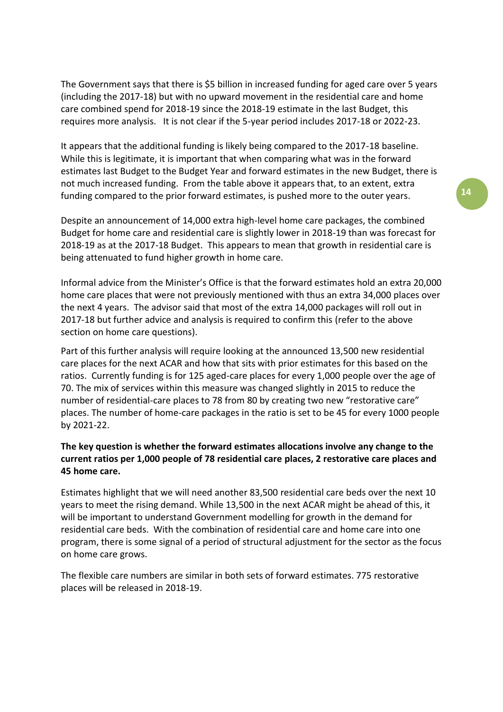The Government says that there is \$5 billion in increased funding for aged care over 5 years (including the 2017-18) but with no upward movement in the residential care and home care combined spend for 2018-19 since the 2018-19 estimate in the last Budget, this requires more analysis. It is not clear if the 5-year period includes 2017-18 or 2022-23.

It appears that the additional funding is likely being compared to the 2017-18 baseline. While this is legitimate, it is important that when comparing what was in the forward estimates last Budget to the Budget Year and forward estimates in the new Budget, there is not much increased funding. From the table above it appears that, to an extent, extra funding compared to the prior forward estimates, is pushed more to the outer years.

Despite an announcement of 14,000 extra high-level home care packages, the combined Budget for home care and residential care is slightly lower in 2018-19 than was forecast for 2018-19 as at the 2017-18 Budget. This appears to mean that growth in residential care is being attenuated to fund higher growth in home care.

Informal advice from the Minister's Office is that the forward estimates hold an extra 20,000 home care places that were not previously mentioned with thus an extra 34,000 places over the next 4 years. The advisor said that most of the extra 14,000 packages will roll out in 2017-18 but further advice and analysis is required to confirm this (refer to the above section on home care questions).

Part of this further analysis will require looking at the announced 13,500 new residential care places for the next ACAR and how that sits with prior estimates for this based on the ratios. Currently funding is for 125 aged-care places for every 1,000 people over the age of 70. The mix of services within this measure was changed slightly in 2015 to reduce the number of residential-care places to 78 from 80 by creating two new "restorative care" places. The number of home-care packages in the ratio is set to be 45 for every 1000 people by 2021-22.

# **The key question is whether the forward estimates allocations involve any change to the current ratios per 1,000 people of 78 residential care places, 2 restorative care places and 45 home care.**

Estimates highlight that we will need another 83,500 residential care beds over the next 10 years to meet the rising demand. While 13,500 in the next ACAR might be ahead of this, it will be important to understand Government modelling for growth in the demand for residential care beds. With the combination of residential care and home care into one program, there is some signal of a period of structural adjustment for the sector as the focus on home care grows.

The flexible care numbers are similar in both sets of forward estimates. 775 restorative places will be released in 2018-19.